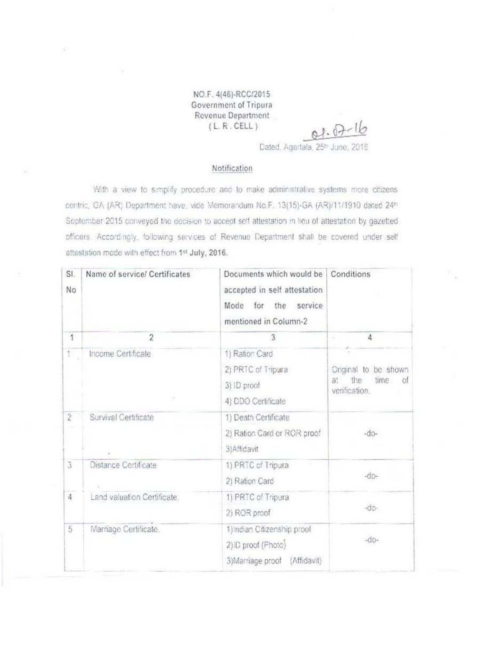NO.F. 4(46)-RCC/2015 Government of Tripura Revenue Department  $(L, R. CEL)$ 

Dated, Agartala, 25th June, 2016

 $01.07 - 16$ 

## Notification

With a view to simplify procedure and to make administrative systems more citizens centric, GA (AR) Department have, vide Memorandum No.F. 13(15)-GA (AR)/11/1910 dated 24<sup>th</sup> September 2015 conveyed the decision to accept self attestation in lieu of attestation by gazetted officers. Accordingly, following services of Revenue Department shall be covered under self attestation mode with effect from 1st July, 2016.

| SI.<br>No      | Name of service/ Certificates | Documents which would be<br>accepted in self attestation<br>Mode for the service<br>mentioned in Column-2 | Conditions                                                        |
|----------------|-------------------------------|-----------------------------------------------------------------------------------------------------------|-------------------------------------------------------------------|
| 1              | $\overline{2}$                | 3                                                                                                         | 4<br>÷.                                                           |
| 1              | Income Certificate            | 1) Ration Card<br>2) PRTC of Tripura<br>3) ID proof<br>4) DDO Certificate                                 | Original to be shown<br>the<br>at<br>time<br>of.<br>verification. |
| $\overline{2}$ | Survival Certificate          | 1) Death Certificate<br>2) Ration Card or ROR proof<br>3) Affidavit                                       | $-do-$                                                            |
| 3              | Distance Certificate          | 1) PRTC of Tripura<br>2) Ration Card                                                                      | $-00-$                                                            |
| $\overline{4}$ | Land valuation Certificate.   | 1) PRTC of Tripura<br>2) ROR proof                                                                        | $-dD$ -                                                           |
| 5              | Marriage Certificate.         | 1) Indian Citizenship proof<br>2) iD proof (Photo)<br>3)Marriage proof (Affidavit)                        | $-00-$                                                            |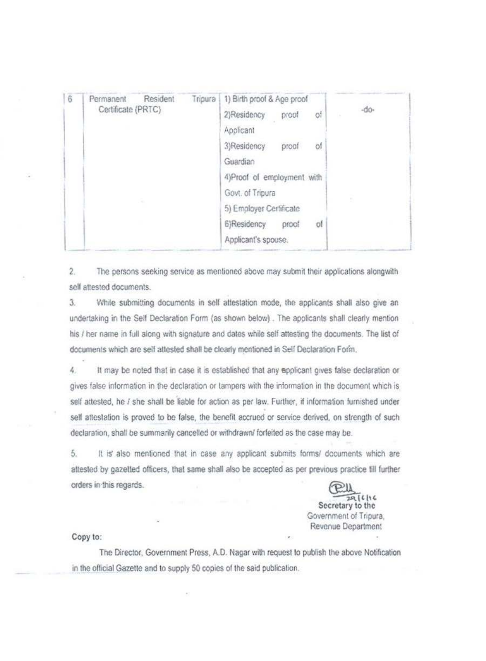| 6 | Resident<br>Tripura<br>Permanent<br>Certificate (PRTC) |                            | 1) Birth proof & Age proof |  |
|---|--------------------------------------------------------|----------------------------|----------------------------|--|
|   |                                                        | 2)Residency<br>proof<br>ΟŤ | -do-                       |  |
|   |                                                        | Applicant                  |                            |  |
|   |                                                        | öf<br>3)Residency<br>proof |                            |  |
|   |                                                        | Guardian                   |                            |  |
|   |                                                        | 4)Proof of employment with |                            |  |
|   |                                                        |                            | Govt. of Tripura           |  |
|   |                                                        |                            | 5) Employer Certificate    |  |
|   |                                                        |                            | 6)Residency<br>proof<br>of |  |
|   |                                                        |                            | Applicant's spouse.        |  |

 $2.$ The persons seeking service as mentioned above may submit their applications alongwith self attested documents.

 $3.$ While submitting documents in self attestation mode, the applicants shall also give an undertaking in the Self Declaration Form (as shown below). The applicants shall clearly mention his / her name in full along with signature and dates while self attesting the documents. The list of documents which are self attested shall be clearly mentioned in Self Declaration Form.

4. It may be noted that in case it is established that any applicant gives false declaration or gives false information in the declaration or tampers with the information in the document which is self attested, he i she shall be liable for action as per law. Further, if information furnished under self attestation is proved to be false, the benefit accrued or service derived, on strength of such declaration, shall be summarily cancelled or withdrawn/ forfeited as the case may be.

5. It is also mentioned that in case any applicant submits forms/ documents which are attested by gazetted officers, that same shall also be accepted as per previous practice till further orders in this regards.

29/6/16

Secretary to the Government of Tripura. Revenue Department

Copy to:

The Director, Government Press, A.D. Nagar with request to publish the above Notification in the official Gazette and to supply 50 copies of the said publication.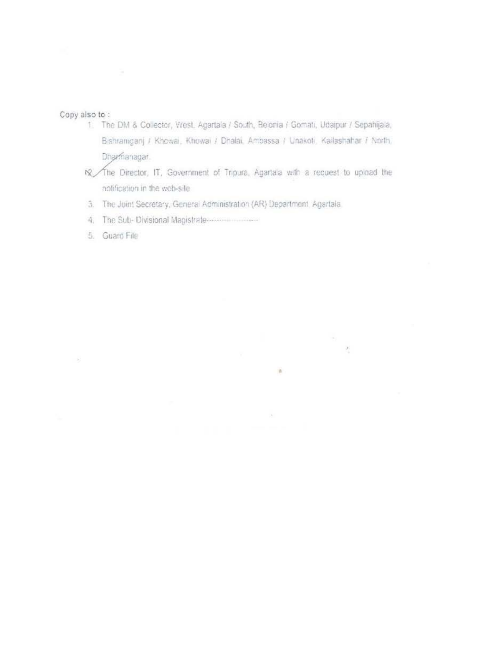Copy also to:

 $\rightarrow$ 

- 1. The DM & Collector, West. Agartala / South, Belonia / Gomati, Udaipur / Sepahijala, Bishramganj / Khowai, Khowai / Dhalai, Ambassa / Unakoti, Kailashahar / North, Dharmanagar.
- № The Director, IT, Government of Tripura, Agartala with a request to upload the notification in the web-site

÷.

ä

- 3. The Joint Secretary, General Administration (AR) Department, Agartala.
- 4. The Sub-Divisional Magistrate-
- 5. Guard File